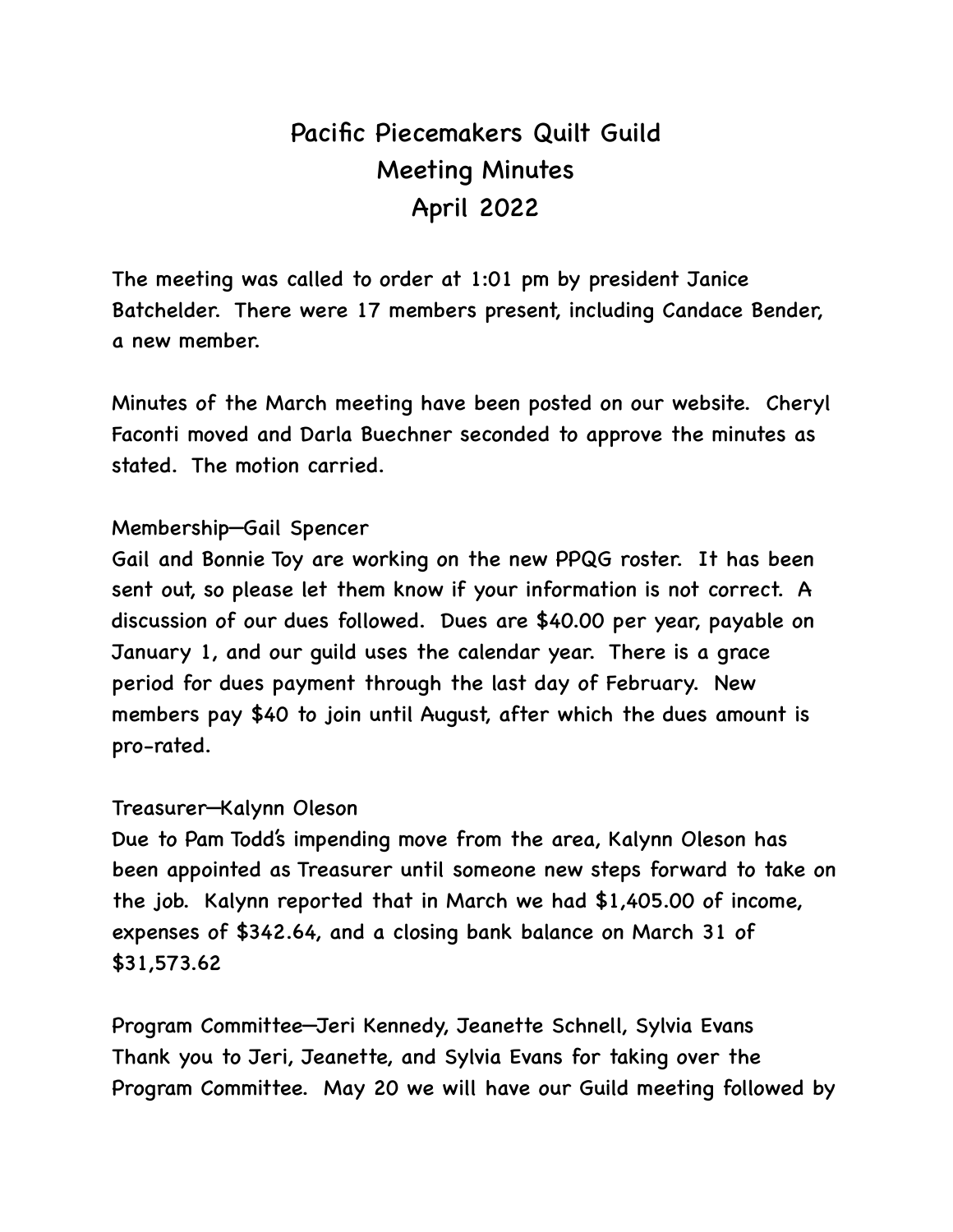# Pacific Piecemakers Quilt Guild Meeting Minutes April 2022

The meeting was called to order at 1:01 pm by president Janice Batchelder. There were 17 members present, including Candace Bender, a new member.

Minutes of the March meeting have been posted on our website. Cheryl Faconti moved and Darla Buechner seconded to approve the minutes as stated. The motion carried.

## Membership—Gail Spencer

Gail and Bonnie Toy are working on the new PPQG roster. It has been sent out, so please let them know if your information is not correct. A discussion of our dues followed. Dues are \$40.00 per year, payable on January 1, and our guild uses the calendar year. There is a grace period for dues payment through the last day of February. New members pay \$40 to join until August, after which the dues amount is pro-rated.

#### Treasurer—Kalynn Oleson

Due to Pam Todd's impending move from the area, Kalynn Oleson has been appointed as Treasurer until someone new steps forward to take on the job. Kalynn reported that in March we had \$1,405.00 of income, expenses of \$342.64, and a closing bank balance on March 31 of \$31,573.62

Program Committee—Jeri Kennedy, Jeanette Schnell, Sylvia Evans Thank you to Jeri, Jeanette, and Sylvia Evans for taking over the Program Committee. May 20 we will have our Guild meeting followed by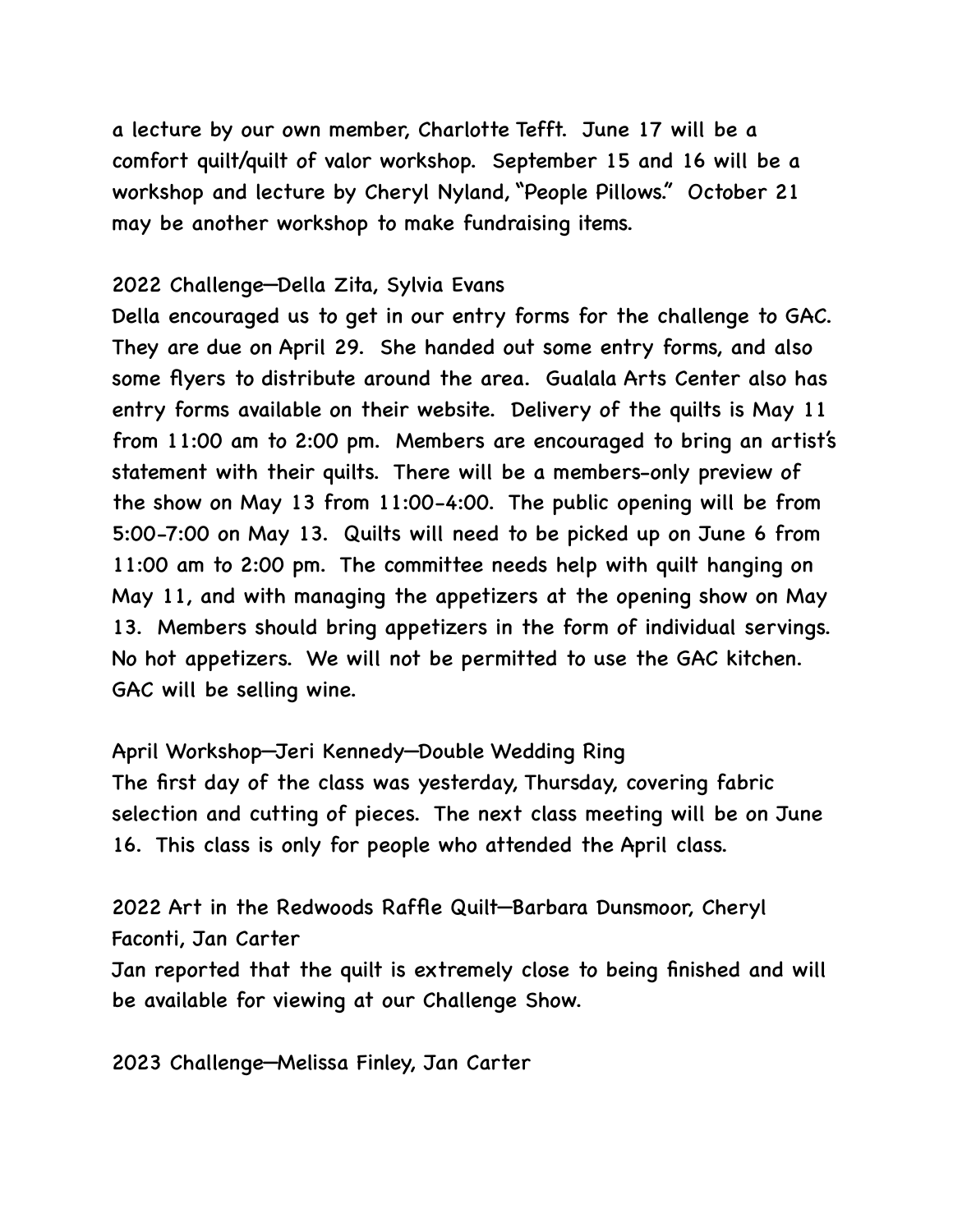a lecture by our own member, Charlotte Tefft. June 17 will be a comfort quilt/quilt of valor workshop. September 15 and 16 will be a workshop and lecture by Cheryl Nyland, "People Pillows." October 21 may be another workshop to make fundraising items.

#### 2022 Challenge—Della Zita, Sylvia Evans

Della encouraged us to get in our entry forms for the challenge to GAC. They are due on April 29. She handed out some entry forms, and also some flyers to distribute around the area. Gualala Arts Center also has entry forms available on their website. Delivery of the quilts is May 11 from 11:00 am to 2:00 pm. Members are encouraged to bring an artist's statement with their quilts. There will be a members-only preview of the show on May 13 from 11:00-4:00. The public opening will be from 5:00-7:00 on May 13. Quilts will need to be picked up on June 6 from 11:00 am to 2:00 pm. The committee needs help with quilt hanging on May 11, and with managing the appetizers at the opening show on May 13. Members should bring appetizers in the form of individual servings. No hot appetizers. We will not be permitted to use the GAC kitchen. GAC will be selling wine.

April Workshop—Jeri Kennedy—Double Wedding Ring

The first day of the class was yesterday, Thursday, covering fabric selection and cutting of pieces. The next class meeting will be on June 16. This class is only for people who attended the April class.

2022 Art in the Redwoods Raffle Quilt—Barbara Dunsmoor, Cheryl Faconti, Jan Carter

Jan reported that the quilt is extremely close to being finished and will be available for viewing at our Challenge Show.

2023 Challenge—Melissa Finley, Jan Carter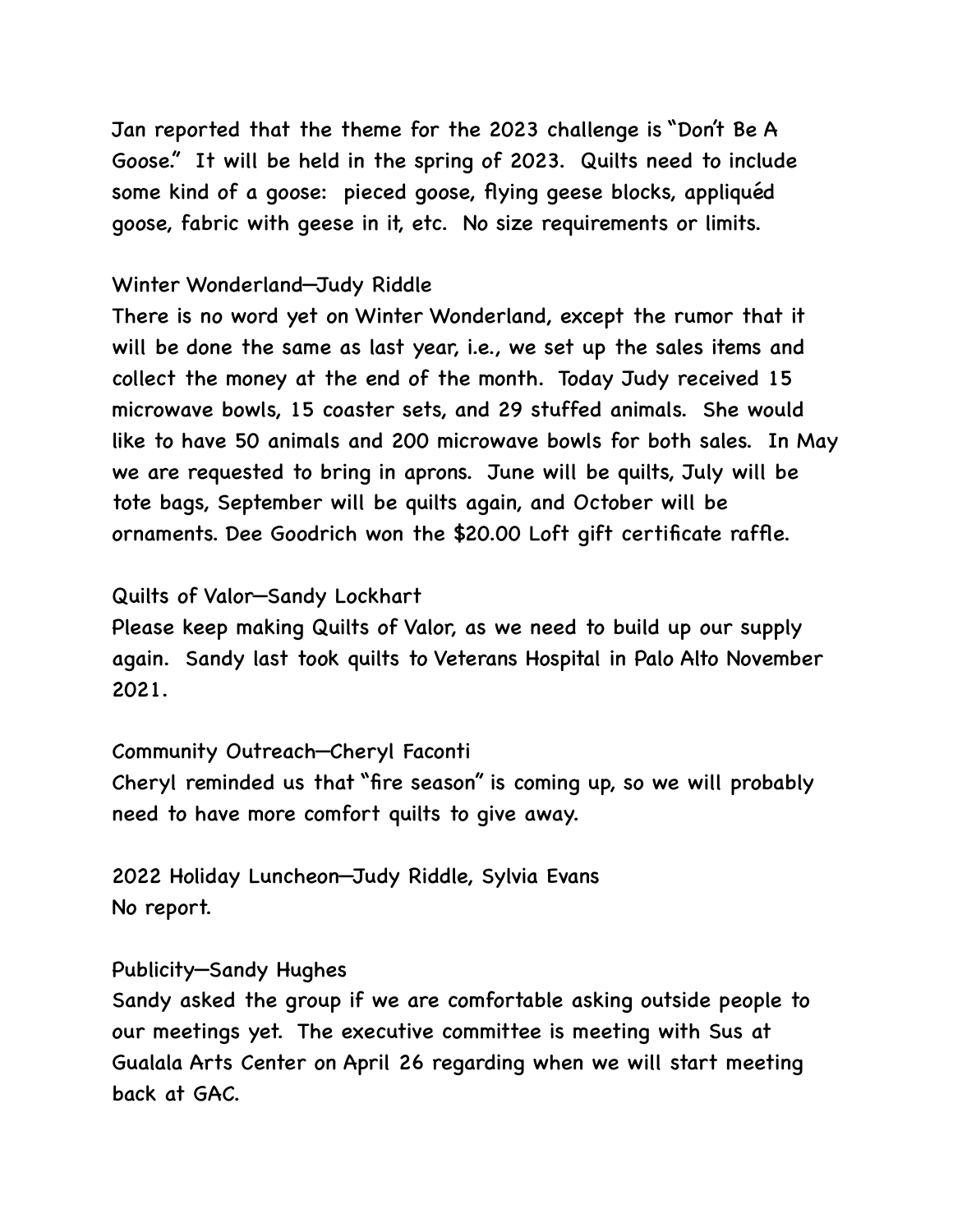Jan reported that the theme for the 2023 challenge is "Don't Be A Goose." It will be held in the spring of 2023. Quilts need to include some kind of a goose: pieced goose, flying geese blocks, appliquéd goose, fabric with geese in it, etc. No size requirements or limits.

## Winter Wonderland—Judy Riddle

There is no word yet on Winter Wonderland, except the rumor that it will be done the same as last year, i.e., we set up the sales items and collect the money at the end of the month. Today Judy received 15 microwave bowls, 15 coaster sets, and 29 stuffed animals. She would like to have 50 animals and 200 microwave bowls for both sales. In May we are requested to bring in aprons. June will be quilts, July will be tote bags, September will be quilts again, and October will be ornaments. Dee Goodrich won the \$20.00 Loft gift certificate raffle.

## Quilts of Valor—Sandy Lockhart

Please keep making Quilts of Valor, as we need to build up our supply again. Sandy last took quilts to Veterans Hospital in Palo Alto November 2021.

## Community Outreach—Cheryl Faconti

Cheryl reminded us that "fire season" is coming up, so we will probably need to have more comfort quilts to give away.

2022 Holiday Luncheon—Judy Riddle, Sylvia Evans No report.

#### Publicity—Sandy Hughes

Sandy asked the group if we are comfortable asking outside people to our meetings yet. The executive committee is meeting with Sus at Gualala Arts Center on April 26 regarding when we will start meeting back at GAC.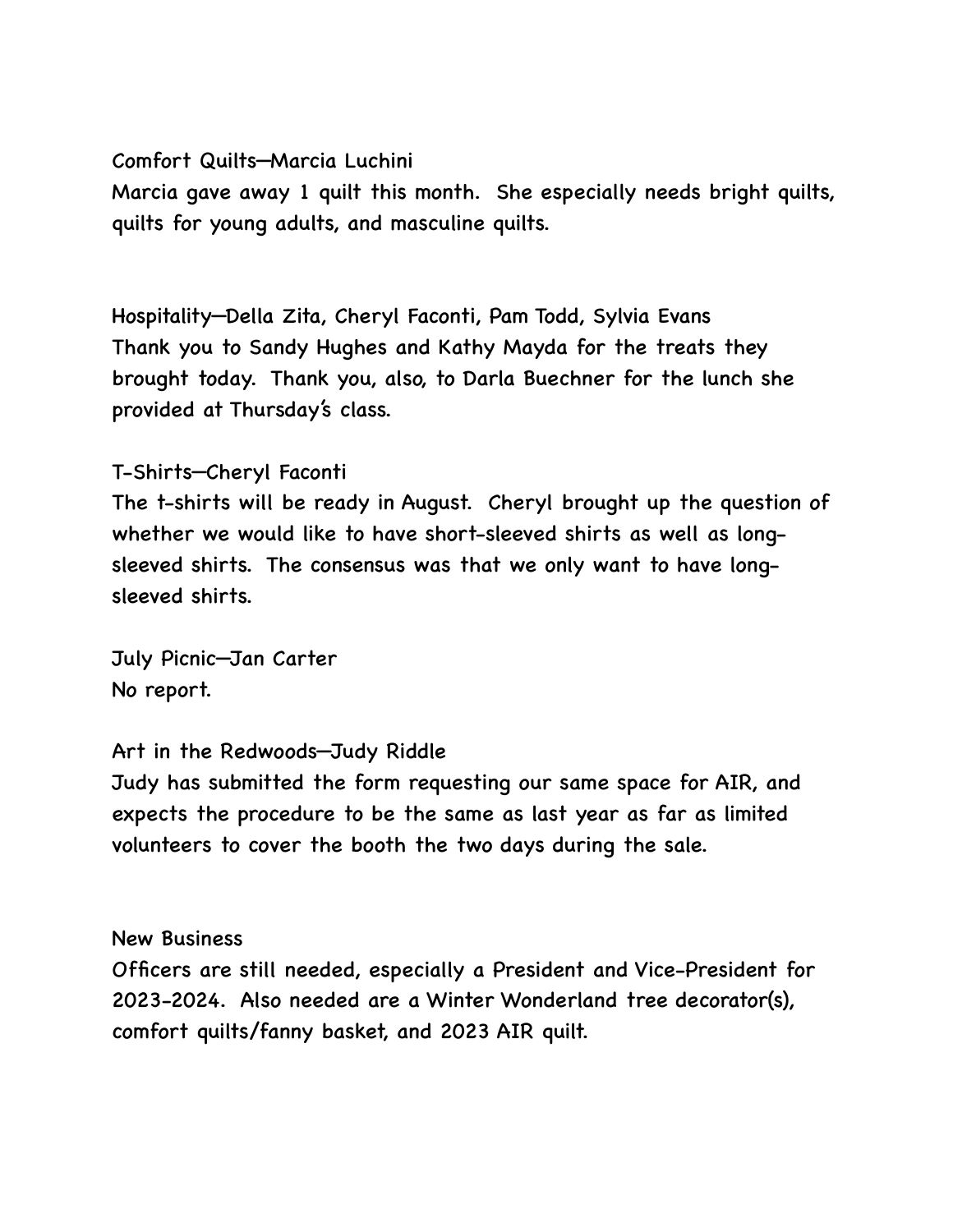### Comfort Quilts—Marcia Luchini

Marcia gave away 1 quilt this month. She especially needs bright quilts, quilts for young adults, and masculine quilts.

Hospitality—Della Zita, Cheryl Faconti, Pam Todd, Sylvia Evans Thank you to Sandy Hughes and Kathy Mayda for the treats they brought today. Thank you, also, to Darla Buechner for the lunch she provided at Thursday's class.

## T-Shirts—Cheryl Faconti

The t-shirts will be ready in August. Cheryl brought up the question of whether we would like to have short-sleeved shirts as well as longsleeved shirts. The consensus was that we only want to have longsleeved shirts.

July Picnic—Jan Carter No report.

## Art in the Redwoods—Judy Riddle

Judy has submitted the form requesting our same space for AIR, and expects the procedure to be the same as last year as far as limited volunteers to cover the booth the two days during the sale.

#### New Business

Officers are still needed, especially a President and Vice-President for 2023-2024. Also needed are a Winter Wonderland tree decorator(s), comfort quilts/fanny basket, and 2023 AIR quilt.